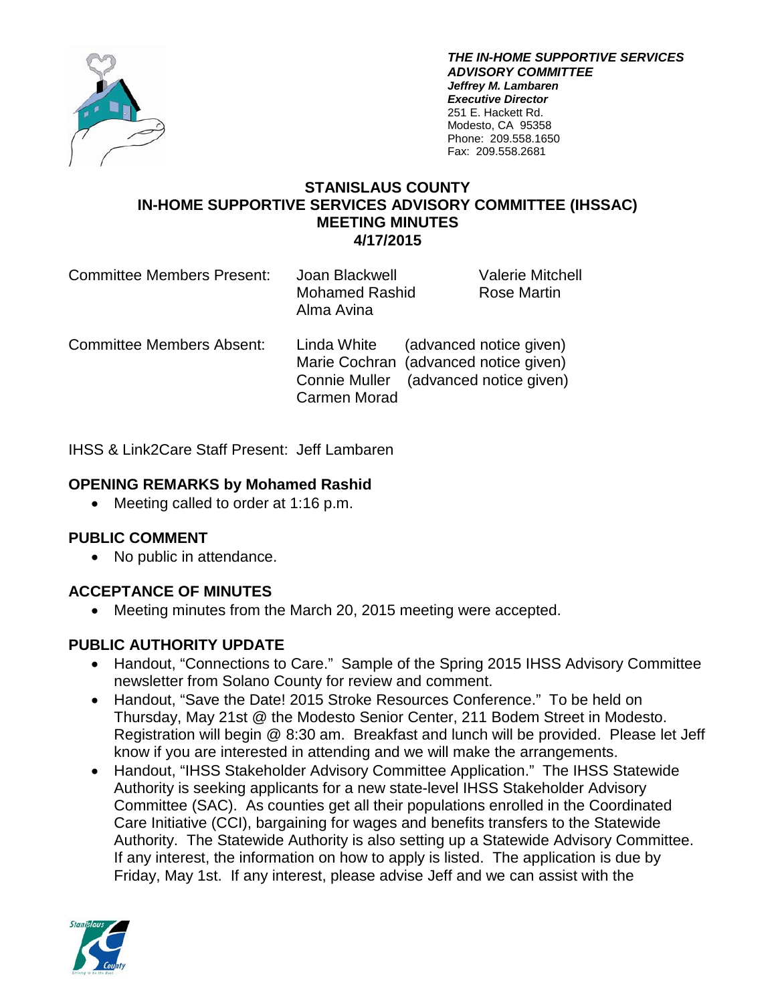

*THE IN-HOME SUPPORTIVE SERVICES ADVISORY COMMITTEE Jeffrey M. Lambaren Executive Director* 251 E. Hackett Rd. Modesto, CA 95358 Phone: 209.558.1650 Fax: 209.558.2681

### **STANISLAUS COUNTY IN-HOME SUPPORTIVE SERVICES ADVISORY COMMITTEE (IHSSAC) MEETING MINUTES 4/17/2015**

| <b>Committee Members Present:</b> | Joan Blackwell<br><b>Mohamed Rashid</b><br>Alma Avina                                         | <b>Valerie Mitchell</b><br>Rose Martin |
|-----------------------------------|-----------------------------------------------------------------------------------------------|----------------------------------------|
| <b>Committee Members Absent:</b>  | Linda White<br>Marie Cochran (advanced notice given)<br>Connie Muller (advanced notice given) | (advanced notice given)                |

Carmen Morad

IHSS & Link2Care Staff Present: Jeff Lambaren

### **OPENING REMARKS by Mohamed Rashid**

• Meeting called to order at 1:16 p.m.

### **PUBLIC COMMENT**

• No public in attendance.

# **ACCEPTANCE OF MINUTES**

• Meeting minutes from the March 20, 2015 meeting were accepted.

### **PUBLIC AUTHORITY UPDATE**

- Handout, "Connections to Care." Sample of the Spring 2015 IHSS Advisory Committee newsletter from Solano County for review and comment.
- Handout, "Save the Date! 2015 Stroke Resources Conference." To be held on Thursday, May 21st @ the Modesto Senior Center, 211 Bodem Street in Modesto. Registration will begin @ 8:30 am. Breakfast and lunch will be provided. Please let Jeff know if you are interested in attending and we will make the arrangements.
- Handout, "IHSS Stakeholder Advisory Committee Application." The IHSS Statewide Authority is seeking applicants for a new state-level IHSS Stakeholder Advisory Committee (SAC). As counties get all their populations enrolled in the Coordinated Care Initiative (CCI), bargaining for wages and benefits transfers to the Statewide Authority. The Statewide Authority is also setting up a Statewide Advisory Committee. If any interest, the information on how to apply is listed. The application is due by Friday, May 1st. If any interest, please advise Jeff and we can assist with the

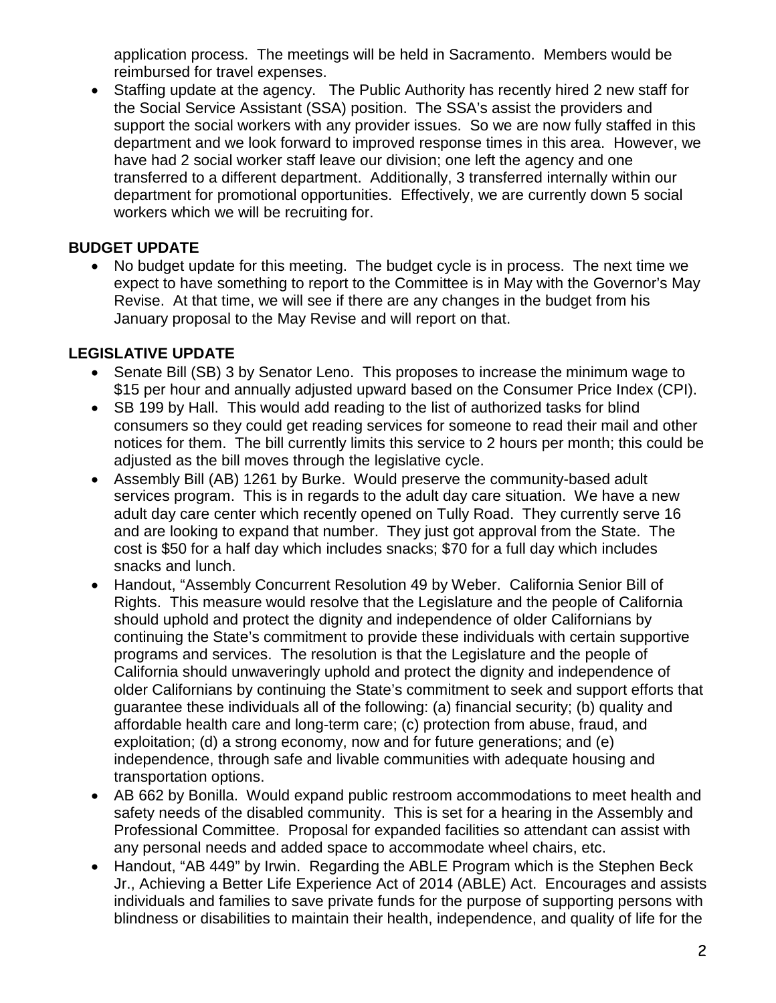application process. The meetings will be held in Sacramento. Members would be reimbursed for travel expenses.

• Staffing update at the agency. The Public Authority has recently hired 2 new staff for the Social Service Assistant (SSA) position. The SSA's assist the providers and support the social workers with any provider issues. So we are now fully staffed in this department and we look forward to improved response times in this area. However, we have had 2 social worker staff leave our division; one left the agency and one transferred to a different department. Additionally, 3 transferred internally within our department for promotional opportunities. Effectively, we are currently down 5 social workers which we will be recruiting for.

# **BUDGET UPDATE**

• No budget update for this meeting. The budget cycle is in process. The next time we expect to have something to report to the Committee is in May with the Governor's May Revise. At that time, we will see if there are any changes in the budget from his January proposal to the May Revise and will report on that.

# **LEGISLATIVE UPDATE**

- Senate Bill (SB) 3 by Senator Leno. This proposes to increase the minimum wage to \$15 per hour and annually adjusted upward based on the Consumer Price Index (CPI).
- SB 199 by Hall. This would add reading to the list of authorized tasks for blind consumers so they could get reading services for someone to read their mail and other notices for them. The bill currently limits this service to 2 hours per month; this could be adjusted as the bill moves through the legislative cycle.
- Assembly Bill (AB) 1261 by Burke. Would preserve the community-based adult services program. This is in regards to the adult day care situation. We have a new adult day care center which recently opened on Tully Road. They currently serve 16 and are looking to expand that number. They just got approval from the State. The cost is \$50 for a half day which includes snacks; \$70 for a full day which includes snacks and lunch.
- Handout, "Assembly Concurrent Resolution 49 by Weber. California Senior Bill of Rights. This measure would resolve that the Legislature and the people of California should uphold and protect the dignity and independence of older Californians by continuing the State's commitment to provide these individuals with certain supportive programs and services. The resolution is that the Legislature and the people of California should unwaveringly uphold and protect the dignity and independence of older Californians by continuing the State's commitment to seek and support efforts that guarantee these individuals all of the following: (a) financial security; (b) quality and affordable health care and long-term care; (c) protection from abuse, fraud, and exploitation; (d) a strong economy, now and for future generations; and (e) independence, through safe and livable communities with adequate housing and transportation options.
- AB 662 by Bonilla. Would expand public restroom accommodations to meet health and safety needs of the disabled community. This is set for a hearing in the Assembly and Professional Committee. Proposal for expanded facilities so attendant can assist with any personal needs and added space to accommodate wheel chairs, etc.
- Handout, "AB 449" by Irwin. Regarding the ABLE Program which is the Stephen Beck Jr., Achieving a Better Life Experience Act of 2014 (ABLE) Act. Encourages and assists individuals and families to save private funds for the purpose of supporting persons with blindness or disabilities to maintain their health, independence, and quality of life for the